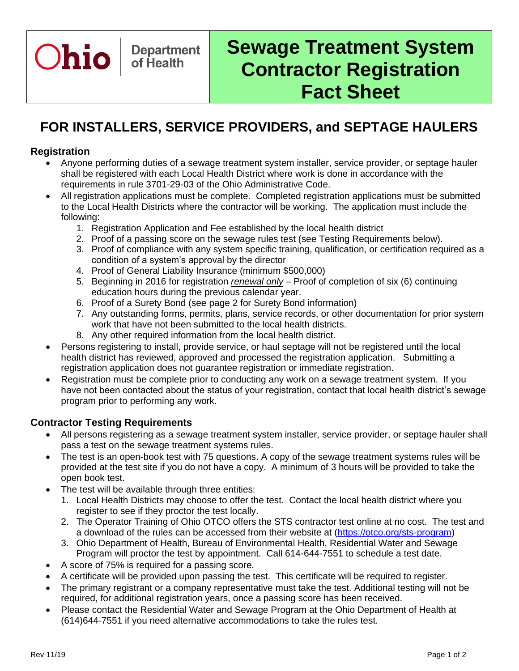

# **Sewage Treatment System Contractor Registration Fact Sheet**

# **FOR INSTALLERS, SERVICE PROVIDERS, and SEPTAGE HAULERS**

#### **Registration**

- Anyone performing duties of a sewage treatment system installer, service provider, or septage hauler shall be registered with each Local Health District where work is done in accordance with the requirements in rule 3701-29-03 of the Ohio Administrative Code.
- All registration applications must be complete. Completed registration applications must be submitted to the Local Health Districts where the contractor will be working. The application must include the following:
	- 1. Registration Application and Fee established by the local health district
	- 2. Proof of a passing score on the sewage rules test (see Testing Requirements below).
	- 3. Proof of compliance with any system specific training, qualification, or certification required as a condition of a system's approval by the director
	- 4. Proof of General Liability Insurance (minimum \$500,000)
	- 5. Beginning in 2016 for registration *renewal only* Proof of completion of six (6) continuing education hours during the previous calendar year.
	- 6. Proof of a Surety Bond (see page 2 for Surety Bond information)
	- 7. Any outstanding forms, permits, plans, service records, or other documentation for prior system work that have not been submitted to the local health districts.
	- 8. Any other required information from the local health district.
- Persons registering to install, provide service, or haul septage will not be registered until the local health district has reviewed, approved and processed the registration application. Submitting a registration application does not guarantee registration or immediate registration.
- Registration must be complete prior to conducting any work on a sewage treatment system. If you have not been contacted about the status of your registration, contact that local health district's sewage program prior to performing any work.

### **Contractor Testing Requirements**

- All persons registering as a sewage treatment system installer, service provider, or septage hauler shall pass a test on the sewage treatment systems rules.
- The test is an open-book test with 75 questions. A copy of the sewage treatment systems rules will be provided at the test site if you do not have a copy. A minimum of 3 hours will be provided to take the open book test.
- The test will be available through three entities:
	- 1. Local Health Districts may choose to offer the test. Contact the local health district where you register to see if they proctor the test locally.
	- 2. The Operator Training of Ohio OTCO offers the STS contractor test online at no cost. The test and a download of the rules can be accessed from their website at [\(https://otco.org/sts-program\)](https://otco.org/sts-program)
	- 3. Ohio Department of Health, Bureau of Environmental Health, Residential Water and Sewage Program will proctor the test by appointment. Call 614-644-7551 to schedule a test date.
- A score of 75% is required for a passing score.
- A certificate will be provided upon passing the test. This certificate will be required to register.
- The primary registrant or a company representative must take the test. Additional testing will not be required, for additional registration years, once a passing score has been received.
- Please contact the Residential Water and Sewage Program at the Ohio Department of Health at (614)644-7551 if you need alternative accommodations to take the rules test.